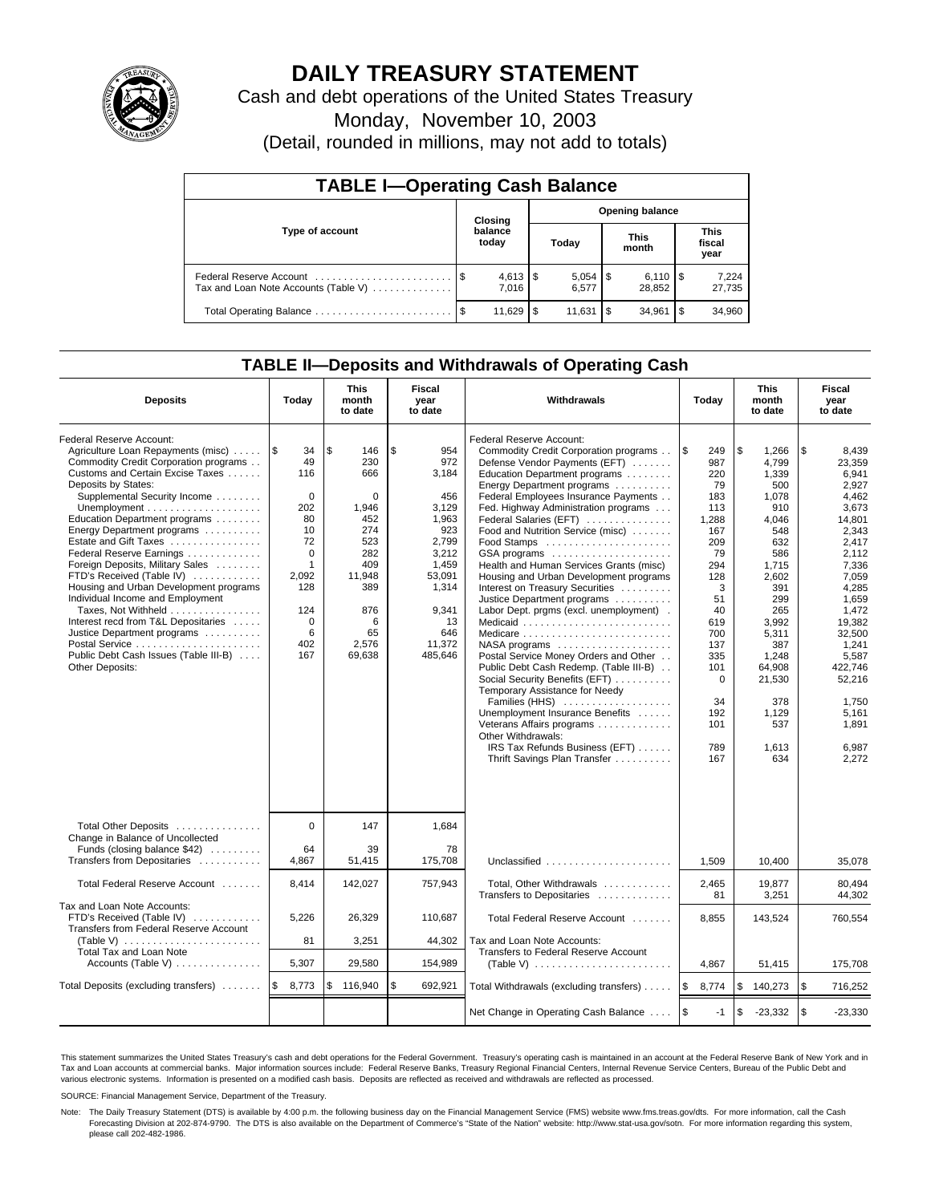

# **DAILY TREASURY STATEMENT**

Cash and debt operations of the United States Treasury

Monday, November 10, 2003

(Detail, rounded in millions, may not add to totals)

| <b>TABLE I-Operating Cash Balance</b>                           |                                   |                  |     |        |    |                              |                               |                 |  |
|-----------------------------------------------------------------|-----------------------------------|------------------|-----|--------|----|------------------------------|-------------------------------|-----------------|--|
|                                                                 | <b>Opening balance</b><br>Closing |                  |     |        |    |                              |                               |                 |  |
| Type of account                                                 |                                   | balance<br>today |     | Today  |    | <b>This</b><br>month         | <b>This</b><br>fiscal<br>year |                 |  |
| Federal Reserve Account<br>Tax and Loan Note Accounts (Table V) |                                   | 7.016            |     | 6.577  |    | $6,110$ $\sqrt{5}$<br>28.852 |                               | 7,224<br>27,735 |  |
| Total Operating Balance                                         |                                   | 11,629           | \$. | 11.631 | \$ | 34.961                       | l \$                          | 34,960          |  |

## **TABLE II—Deposits and Withdrawals of Operating Cash**

| <b>Deposits</b>                                                                                                                                                                                                                                                                                                                                                                                                                                                                                                                                                                                                                                                                           | Today                                                                                                                                  | <b>This</b><br>month<br>to date                                                                                                       | Fiscal<br>year<br>to date                                                                                                                          | Withdrawals                                                                                                                                                                                                                                                                                                                                                                                                                                                                                                                                                                                                                                                                                                                                                                                                                                                                                                                             | Today                                                                                                                                                                                     | <b>This</b><br>month<br>to date                                                                                                                                                                                        | Fiscal<br>year<br>to date                                                                                                                                                                                                                           |
|-------------------------------------------------------------------------------------------------------------------------------------------------------------------------------------------------------------------------------------------------------------------------------------------------------------------------------------------------------------------------------------------------------------------------------------------------------------------------------------------------------------------------------------------------------------------------------------------------------------------------------------------------------------------------------------------|----------------------------------------------------------------------------------------------------------------------------------------|---------------------------------------------------------------------------------------------------------------------------------------|----------------------------------------------------------------------------------------------------------------------------------------------------|-----------------------------------------------------------------------------------------------------------------------------------------------------------------------------------------------------------------------------------------------------------------------------------------------------------------------------------------------------------------------------------------------------------------------------------------------------------------------------------------------------------------------------------------------------------------------------------------------------------------------------------------------------------------------------------------------------------------------------------------------------------------------------------------------------------------------------------------------------------------------------------------------------------------------------------------|-------------------------------------------------------------------------------------------------------------------------------------------------------------------------------------------|------------------------------------------------------------------------------------------------------------------------------------------------------------------------------------------------------------------------|-----------------------------------------------------------------------------------------------------------------------------------------------------------------------------------------------------------------------------------------------------|
| Federal Reserve Account:<br>Agriculture Loan Repayments (misc)<br>Commodity Credit Corporation programs<br>Customs and Certain Excise Taxes<br>Deposits by States:<br>Supplemental Security Income<br>Unemployment $\dots\dots\dots\dots\dots\dots\dots\dots$<br>Education Department programs<br>Energy Department programs<br>Estate and Gift Taxes<br>Federal Reserve Earnings<br>Foreign Deposits, Military Sales<br>FTD's Received (Table IV)<br>Housing and Urban Development programs<br>Individual Income and Employment<br>Taxes, Not Withheld<br>Interest recd from T&L Depositaries<br>Justice Department programs<br>Public Debt Cash Issues (Table III-B)<br>Other Deposits: | ا\$<br>34<br>49<br>116<br>$\Omega$<br>202<br>80<br>10<br>72<br>$\Omega$<br>$\mathbf{1}$<br>2,092<br>128<br>124<br>0<br>6<br>402<br>167 | \$<br>146<br>230<br>666<br>$\Omega$<br>1,946<br>452<br>274<br>523<br>282<br>409<br>11,948<br>389<br>876<br>6<br>65<br>2,576<br>69,638 | \$<br>954<br>972<br>3.184<br>456<br>3,129<br>1,963<br>923<br>2,799<br>3,212<br>1,459<br>53,091<br>1,314<br>9,341<br>13<br>646<br>11,372<br>485,646 | Federal Reserve Account:<br>Commodity Credit Corporation programs<br>Defense Vendor Payments (EFT)<br>Education Department programs<br>Energy Department programs<br>Federal Employees Insurance Payments<br>Fed. Highway Administration programs<br>Federal Salaries (EFT)<br>Food and Nutrition Service (misc)<br>$GSA$ programs $\ldots \ldots \ldots \ldots \ldots$<br>Health and Human Services Grants (misc)<br>Housing and Urban Development programs<br>Interest on Treasury Securities<br>Justice Department programs<br>Labor Dept. prgms (excl. unemployment).<br>Medicaid<br>NASA programs<br>Postal Service Money Orders and Other<br>Public Debt Cash Redemp. (Table III-B)<br>Social Security Benefits (EFT)<br>Temporary Assistance for Needy<br>Families (HHS)<br>Unemployment Insurance Benefits<br>Veterans Affairs programs<br>Other Withdrawals:<br>IRS Tax Refunds Business (EFT)<br>Thrift Savings Plan Transfer | 1\$<br>249<br>987<br>220<br>79<br>183<br>113<br>1,288<br>167<br>209<br>79<br>294<br>128<br>3<br>51<br>40<br>619<br>700<br>137<br>335<br>101<br>$\Omega$<br>34<br>192<br>101<br>789<br>167 | \$<br>1,266<br>4.799<br>1.339<br>500<br>1,078<br>910<br>4,046<br>548<br>632<br>586<br>1,715<br>2,602<br>391<br>299<br>265<br>3,992<br>5,311<br>387<br>1,248<br>64.908<br>21,530<br>378<br>1,129<br>537<br>1.613<br>634 | \$<br>8,439<br>23.359<br>6.941<br>2,927<br>4,462<br>3,673<br>14,801<br>2.343<br>2.417<br>2.112<br>7,336<br>7,059<br>4,285<br>1.659<br>1,472<br>19.382<br>32,500<br>1,241<br>5,587<br>422.746<br>52,216<br>1.750<br>5,161<br>1,891<br>6.987<br>2,272 |
| Total Other Deposits<br>Change in Balance of Uncollected<br>Funds (closing balance \$42)                                                                                                                                                                                                                                                                                                                                                                                                                                                                                                                                                                                                  | $\Omega$<br>64                                                                                                                         | 147<br>39                                                                                                                             | 1.684<br>78                                                                                                                                        |                                                                                                                                                                                                                                                                                                                                                                                                                                                                                                                                                                                                                                                                                                                                                                                                                                                                                                                                         |                                                                                                                                                                                           |                                                                                                                                                                                                                        |                                                                                                                                                                                                                                                     |
| Transfers from Depositaries                                                                                                                                                                                                                                                                                                                                                                                                                                                                                                                                                                                                                                                               | 4,867                                                                                                                                  | 51,415                                                                                                                                | 175,708                                                                                                                                            | Unclassified                                                                                                                                                                                                                                                                                                                                                                                                                                                                                                                                                                                                                                                                                                                                                                                                                                                                                                                            | 1,509                                                                                                                                                                                     | 10,400                                                                                                                                                                                                                 | 35,078                                                                                                                                                                                                                                              |
| Total Federal Reserve Account                                                                                                                                                                                                                                                                                                                                                                                                                                                                                                                                                                                                                                                             | 8,414                                                                                                                                  | 142,027                                                                                                                               | 757,943                                                                                                                                            | Total, Other Withdrawals<br>Transfers to Depositaries                                                                                                                                                                                                                                                                                                                                                                                                                                                                                                                                                                                                                                                                                                                                                                                                                                                                                   | 2,465<br>81                                                                                                                                                                               | 19,877<br>3.251                                                                                                                                                                                                        | 80.494<br>44.302                                                                                                                                                                                                                                    |
| Tax and Loan Note Accounts:<br>FTD's Received (Table IV)<br>Transfers from Federal Reserve Account                                                                                                                                                                                                                                                                                                                                                                                                                                                                                                                                                                                        | 5,226                                                                                                                                  | 26,329                                                                                                                                | 110,687                                                                                                                                            | Total Federal Reserve Account                                                                                                                                                                                                                                                                                                                                                                                                                                                                                                                                                                                                                                                                                                                                                                                                                                                                                                           | 8,855                                                                                                                                                                                     | 143,524                                                                                                                                                                                                                | 760,554                                                                                                                                                                                                                                             |
| (Table V) $\ldots \ldots \ldots \ldots \ldots \ldots \ldots$<br>Total Tax and Loan Note                                                                                                                                                                                                                                                                                                                                                                                                                                                                                                                                                                                                   | 81                                                                                                                                     | 3,251                                                                                                                                 | 44,302                                                                                                                                             | Tax and Loan Note Accounts:<br>Transfers to Federal Reserve Account                                                                                                                                                                                                                                                                                                                                                                                                                                                                                                                                                                                                                                                                                                                                                                                                                                                                     |                                                                                                                                                                                           |                                                                                                                                                                                                                        |                                                                                                                                                                                                                                                     |
| Accounts (Table V) $\dots \dots \dots \dots$                                                                                                                                                                                                                                                                                                                                                                                                                                                                                                                                                                                                                                              | 5,307                                                                                                                                  | 29,580                                                                                                                                | 154,989                                                                                                                                            |                                                                                                                                                                                                                                                                                                                                                                                                                                                                                                                                                                                                                                                                                                                                                                                                                                                                                                                                         | 4,867                                                                                                                                                                                     | 51,415                                                                                                                                                                                                                 | 175,708                                                                                                                                                                                                                                             |
| Total Deposits (excluding transfers) $\ldots \ldots$   \$                                                                                                                                                                                                                                                                                                                                                                                                                                                                                                                                                                                                                                 | 8,773                                                                                                                                  | \$<br>116,940                                                                                                                         | \$<br>692,921                                                                                                                                      | Total Withdrawals (excluding transfers)                                                                                                                                                                                                                                                                                                                                                                                                                                                                                                                                                                                                                                                                                                                                                                                                                                                                                                 | <b>1\$</b><br>8,774                                                                                                                                                                       | \$<br>140,273                                                                                                                                                                                                          | \$<br>716,252                                                                                                                                                                                                                                       |
|                                                                                                                                                                                                                                                                                                                                                                                                                                                                                                                                                                                                                                                                                           |                                                                                                                                        |                                                                                                                                       |                                                                                                                                                    | Net Change in Operating Cash Balance                                                                                                                                                                                                                                                                                                                                                                                                                                                                                                                                                                                                                                                                                                                                                                                                                                                                                                    | $\sqrt{3}$<br>$-1$                                                                                                                                                                        | $\sqrt{3}$<br>$-23,332$                                                                                                                                                                                                | \$<br>$-23,330$                                                                                                                                                                                                                                     |

This statement summarizes the United States Treasury's cash and debt operations for the Federal Government. Treasury's operating cash is maintained in an account at the Federal Reserve Bank of New York and in Tax and Loan accounts at commercial banks. Major information sources include: Federal Reserve Banks, Treasury Regional Financial Centers, Internal Revenue Service Centers, Bureau of the Public Debt and<br>various electronic s

SOURCE: Financial Management Service, Department of the Treasury.

Note: The Daily Treasury Statement (DTS) is available by 4:00 p.m. the following business day on the Financial Management Service (FMS) website www.fms.treas.gov/dts. For more information, call the Cash Forecasting Division at 202-874-9790. The DTS is also available on the Department of Commerce's "State of the Nation" website: http://www.stat-usa.gov/sotn. For more information regarding this system, please call 202-482-1986.